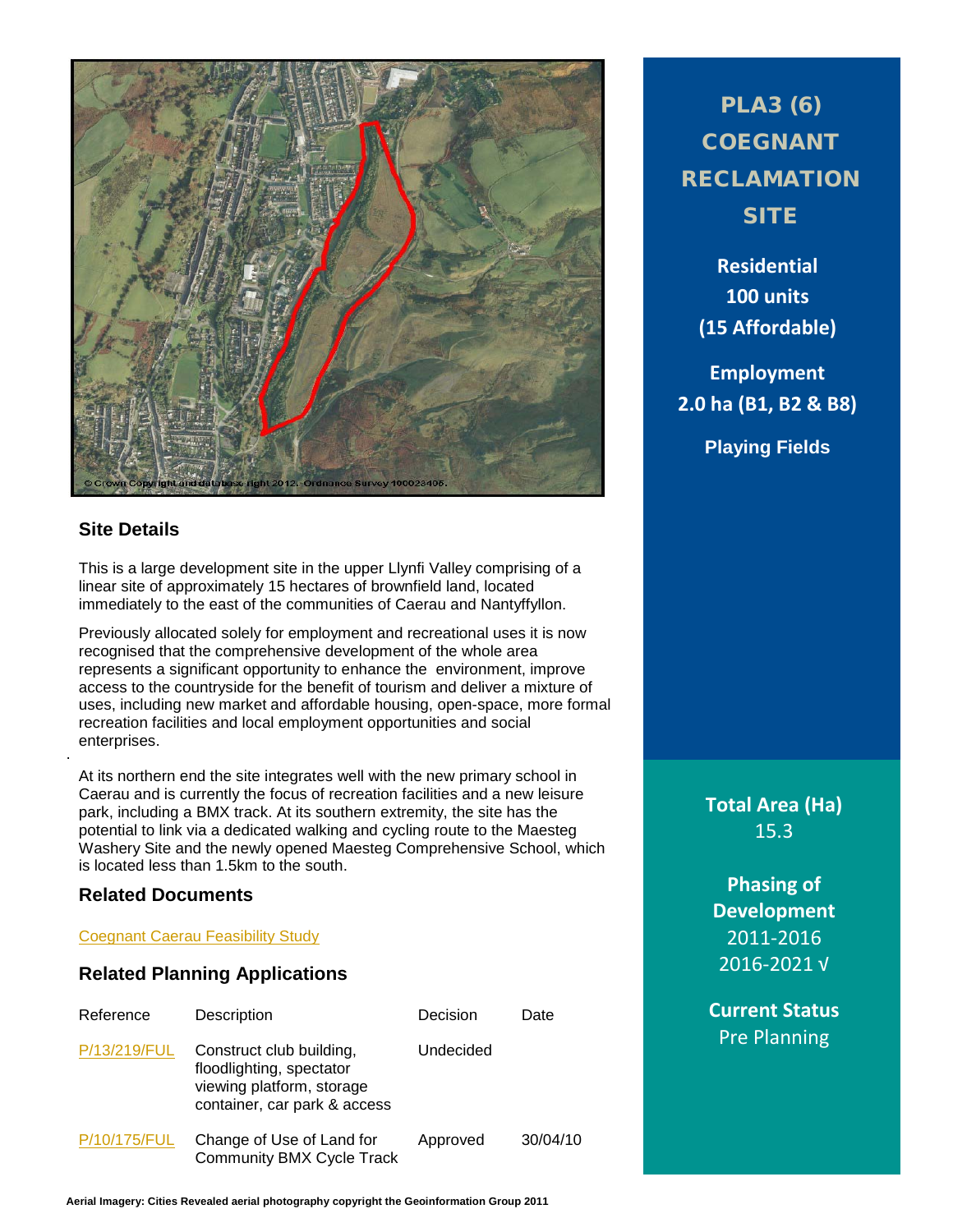

# **Site Details**

.

This is a large development site in the upper Llynfi Valley comprising of a linear site of approximately 15 hectares of brownfield land, located immediately to the east of the communities of Caerau and Nantyffyllon.

Previously allocated solely for employment and recreational uses it is now recognised that the comprehensive development of the whole area represents a significant opportunity to enhance the environment, improve access to the countryside for the benefit of tourism and deliver a mixture of uses, including new market and affordable housing, open-space, more formal recreation facilities and local employment opportunities and social enterprises.

At its northern end the site integrates well with the new primary school in Caerau and is currently the focus of recreation facilities and a new leisure park, including a BMX track. At its southern extremity, the site has the potential to link via a dedicated walking and cycling route to the Maesteg Washery Site and the newly opened Maesteg Comprehensive School, which is located less than 1.5km to the south.

### **Related Documents**

#### [Coegnant Caerau Feasibility Study](http://www1.bridgend.gov.uk/media/164457/SD70.pdf)

#### **Related Planning Applications**

| Reference    | Description                                                                                                       | Decision  | Date     |
|--------------|-------------------------------------------------------------------------------------------------------------------|-----------|----------|
| P/13/219/FUL | Construct club building,<br>floodlighting, spectator<br>viewing platform, storage<br>container, car park & access | Undecided |          |
| P/10/175/FUL | Change of Use of Land for<br><b>Community BMX Cycle Track</b>                                                     | Approved  | 30/04/10 |

# PLA3 (6) **COEGNANT** RECLAMATION **SITE**

**Residential 100 units (15 Affordable)**

**Employment 2.0 ha (B1, B2 & B8)**

**Playing Fields**

**Total Area (Ha)** 15.3

**Phasing of Development** 2011-2016 2016-2021 √

**Current Status** Pre Planning